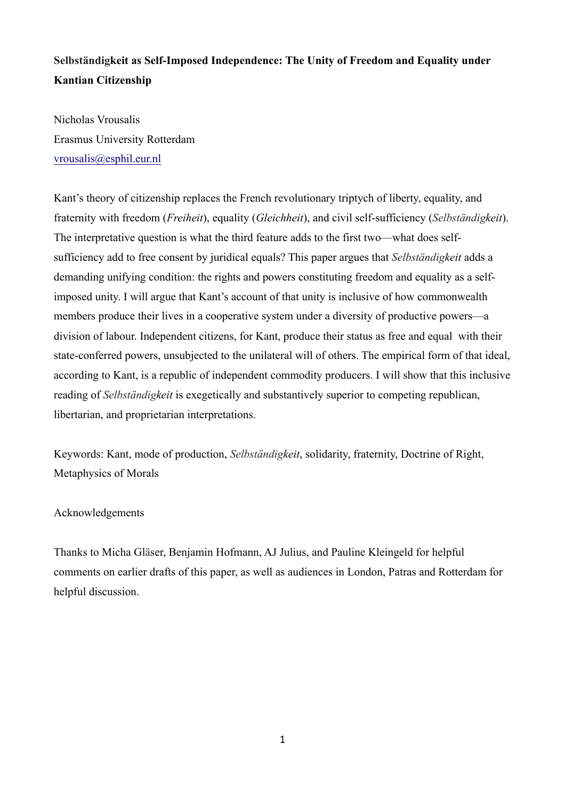# **Selbständigkeit as Self-Imposed Independence: The Unity of Freedom and Equality under Kantian Citizenship**

Nicholas Vrousalis Erasmus University Rotterdam vrousalis@esphil.eur.nl

Kant's theory of citizenship replaces the French revolutionary triptych of liberty, equality, and fraternity with freedom (*Freiheit*), equality (*Gleichheit*), and civil self-sufficiency (*Selbständigkeit*). The interpretative question is what the third feature adds to the first two—what does selfsufficiency add to free consent by juridical equals? This paper argues that *Selbständigkeit* adds a demanding unifying condition: the rights and powers constituting freedom and equality as a selfimposed unity. I will argue that Kant's account of that unity is inclusive of how commonwealth members produce their lives in a cooperative system under a diversity of productive powers—a division of labour. Independent citizens, for Kant, produce their status as free and equal with their state-conferred powers, unsubjected to the unilateral will of others. The empirical form of that ideal, according to Kant, is a republic of independent commodity producers. I will show that this inclusive reading of *Selbständigkeit* is exegetically and substantively superior to competing republican, libertarian, and proprietarian interpretations.

Keywords: Kant, mode of production, *Selbständigkeit*, solidarity, fraternity, Doctrine of Right, Metaphysics of Morals

# Acknowledgements

Thanks to Micha Gläser, Benjamin Hofmann, AJ Julius, and Pauline Kleingeld for helpful comments on earlier drafts of this paper, as well as audiences in London, Patras and Rotterdam for helpful discussion.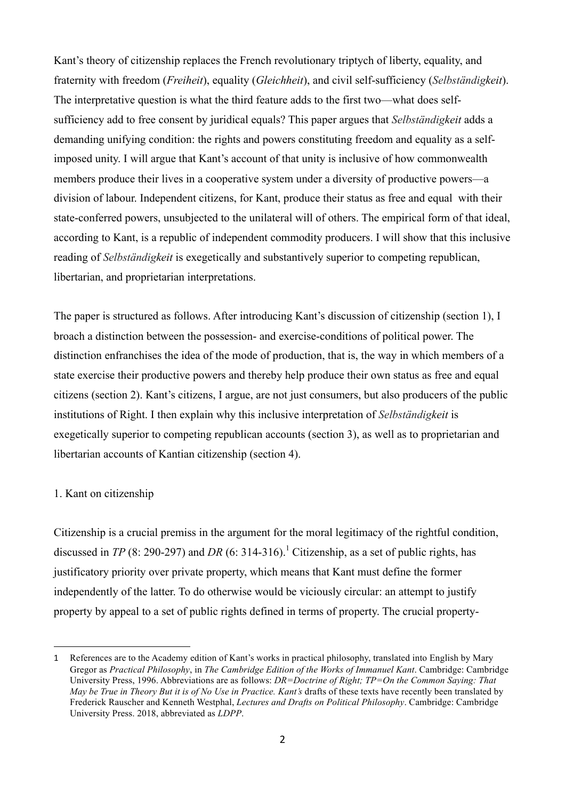Kant's theory of citizenship replaces the French revolutionary triptych of liberty, equality, and fraternity with freedom (*Freiheit*), equality (*Gleichheit*), and civil self-sufficiency (*Selbständigkeit*). The interpretative question is what the third feature adds to the first two—what does selfsufficiency add to free consent by juridical equals? This paper argues that *Selbständigkeit* adds a demanding unifying condition: the rights and powers constituting freedom and equality as a selfimposed unity. I will argue that Kant's account of that unity is inclusive of how commonwealth members produce their lives in a cooperative system under a diversity of productive powers—a division of labour. Independent citizens, for Kant, produce their status as free and equal with their state-conferred powers, unsubjected to the unilateral will of others. The empirical form of that ideal, according to Kant, is a republic of independent commodity producers. I will show that this inclusive reading of *Selbständigkeit* is exegetically and substantively superior to competing republican, libertarian, and proprietarian interpretations.

The paper is structured as follows. After introducing Kant's discussion of citizenship (section 1), I broach a distinction between the possession- and exercise-conditions of political power. The distinction enfranchises the idea of the mode of production, that is, the way in which members of a state exercise their productive powers and thereby help produce their own status as free and equal citizens (section 2). Kant's citizens, I argue, are not just consumers, but also producers of the public institutions of Right. I then explain why this inclusive interpretation of *Selbständigkeit* is exegetically superior to competing republican accounts (section 3), as well as to proprietarian and libertarian accounts of Kantian citizenship (section 4).

### 1. Kant on citizenship

 

Citizenship is a crucial premiss in the argument for the moral legitimacy of the rightful condition, discussed in *TP* (8: 290-297) and *DR* (6: 314-316).<sup>1</sup> Citizenship, as a set of public rights, has justificatory priority over private property, which means that Kant must define the former independently of the latter. To do otherwise would be viciously circular: an attempt to justify property by appeal to a set of public rights defined in terms of property. The crucial property-

<sup>1</sup> References are to the Academy edition of Kant's works in practical philosophy, translated into English by Mary Gregor as *Practical Philosophy*, in *The Cambridge Edition of the Works of Immanuel Kant*. Cambridge: Cambridge University Press, 1996. Abbreviations are as follows: *DR=Doctrine of Right; TP=On the Common Saying: That May be True in Theory But it is of No Use in Practice. Kant's* drafts of these texts have recently been translated by Frederick Rauscher and Kenneth Westphal, *Lectures and Drafts on Political Philosophy*. Cambridge: Cambridge University Press. 2018, abbreviated as *LDPP*.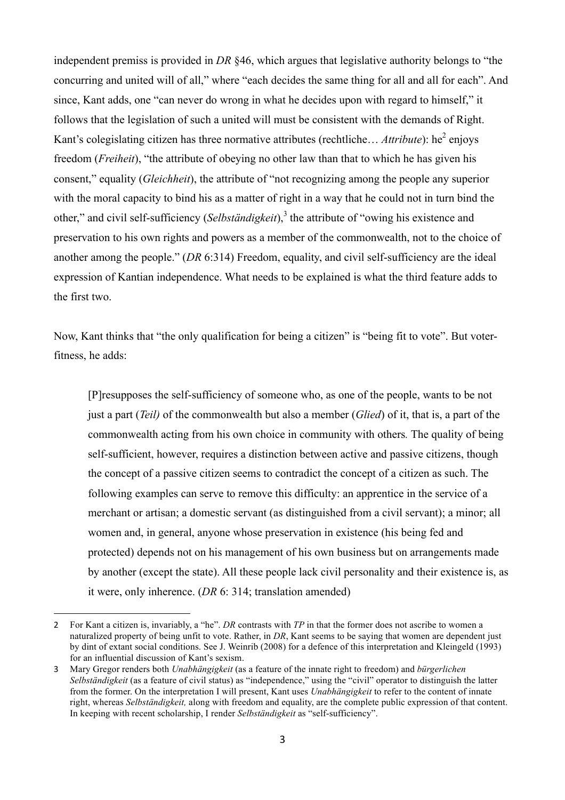independent premiss is provided in *DR* §46, which argues that legislative authority belongs to "the concurring and united will of all," where "each decides the same thing for all and all for each". And since, Kant adds, one "can never do wrong in what he decides upon with regard to himself," it follows that the legislation of such a united will must be consistent with the demands of Right. Kant's colegislating citizen has three normative attributes (rechtliche... *Attribute*): he<sup>2</sup> enjoys freedom (*Freiheit*), "the attribute of obeying no other law than that to which he has given his consent," equality (*Gleichheit*), the attribute of "not recognizing among the people any superior with the moral capacity to bind his as a matter of right in a way that he could not in turn bind the other," and civil self-sufficiency (*Selbständigkeit*),<sup>3</sup> the attribute of "owing his existence and preservation to his own rights and powers as a member of the commonwealth, not to the choice of another among the people." (*DR* 6:314) Freedom, equality, and civil self-sufficiency are the ideal expression of Kantian independence. What needs to be explained is what the third feature adds to the first two.

Now, Kant thinks that "the only qualification for being a citizen" is "being fit to vote". But voterfitness, he adds:

[P]resupposes the self-sufficiency of someone who, as one of the people, wants to be not just a part (*Teil)* of the commonwealth but also a member (*Glied*) of it, that is, a part of the commonwealth acting from his own choice in community with others*.* The quality of being self-sufficient, however, requires a distinction between active and passive citizens, though the concept of a passive citizen seems to contradict the concept of a citizen as such. The following examples can serve to remove this difficulty: an apprentice in the service of a merchant or artisan; a domestic servant (as distinguished from a civil servant); a minor; all women and, in general, anyone whose preservation in existence (his being fed and protected) depends not on his management of his own business but on arrangements made by another (except the state). All these people lack civil personality and their existence is, as it were, only inherence. (*DR* 6: 314; translation amended)

<sup>2</sup> For Kant a citizen is, invariably, a "he". *DR* contrasts with *TP* in that the former does not ascribe to women a naturalized property of being unfit to vote. Rather, in *DR*, Kant seems to be saying that women are dependent just by dint of extant social conditions. See J. Weinrib (2008) for a defence of this interpretation and Kleingeld (1993) for an influential discussion of Kant's sexism.

<sup>3</sup> Mary Gregor renders both *Unabhängigkeit* (as a feature of the innate right to freedom) and *bürgerlichen Selbständigkeit* (as a feature of civil status) as "independence," using the "civil" operator to distinguish the latter from the former. On the interpretation I will present, Kant uses *Unabhängigkeit* to refer to the content of innate right, whereas *Selbständigkeit,* along with freedom and equality, are the complete public expression of that content. In keeping with recent scholarship, I render *Selbständigkeit* as "self-sufficiency".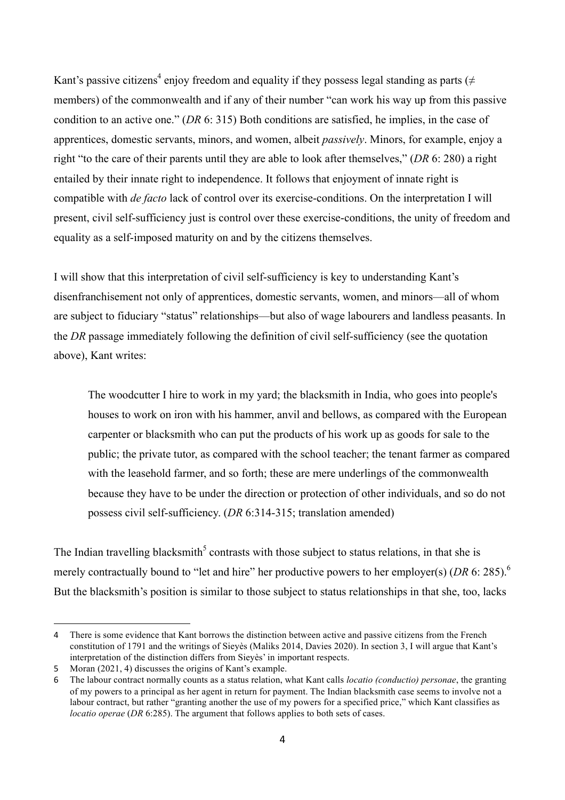Kant's passive citizens<sup>4</sup> enjoy freedom and equality if they possess legal standing as parts ( $\neq$ members) of the commonwealth and if any of their number "can work his way up from this passive condition to an active one." (*DR* 6: 315) Both conditions are satisfied, he implies, in the case of apprentices, domestic servants, minors, and women, albeit *passively*. Minors, for example, enjoy a right "to the care of their parents until they are able to look after themselves," (*DR* 6: 280) a right entailed by their innate right to independence. It follows that enjoyment of innate right is compatible with *de facto* lack of control over its exercise-conditions. On the interpretation I will present, civil self-sufficiency just is control over these exercise-conditions, the unity of freedom and equality as a self-imposed maturity on and by the citizens themselves.

I will show that this interpretation of civil self-sufficiency is key to understanding Kant's disenfranchisement not only of apprentices, domestic servants, women, and minors—all of whom are subject to fiduciary "status" relationships—but also of wage labourers and landless peasants. In the *DR* passage immediately following the definition of civil self-sufficiency (see the quotation above), Kant writes:

The woodcutter I hire to work in my yard; the blacksmith in India, who goes into people's houses to work on iron with his hammer, anvil and bellows, as compared with the European carpenter or blacksmith who can put the products of his work up as goods for sale to the public; the private tutor, as compared with the school teacher; the tenant farmer as compared with the leasehold farmer, and so forth; these are mere underlings of the commonwealth because they have to be under the direction or protection of other individuals, and so do not possess civil self-sufficiency. (*DR* 6:314-315; translation amended)

The Indian travelling blacksmith<sup>5</sup> contrasts with those subject to status relations, in that she is merely contractually bound to "let and hire" her productive powers to her employer(s) (*DR* 6: 285).<sup>6</sup> But the blacksmith's position is similar to those subject to status relationships in that she, too, lacks

<sup>4</sup> There is some evidence that Kant borrows the distinction between active and passive citizens from the French constitution of 1791 and the writings of Sieyès (Maliks 2014, Davies 2020). In section 3, I will argue that Kant's interpretation of the distinction differs from Sieyès' in important respects.

<sup>5</sup> Moran (2021, 4) discusses the origins of Kant's example.

<sup>6</sup> The labour contract normally counts as a status relation, what Kant calls *locatio (conductio) personae*, the granting of my powers to a principal as her agent in return for payment. The Indian blacksmith case seems to involve not a labour contract, but rather "granting another the use of my powers for a specified price," which Kant classifies as *locatio operae* (*DR* 6:285). The argument that follows applies to both sets of cases.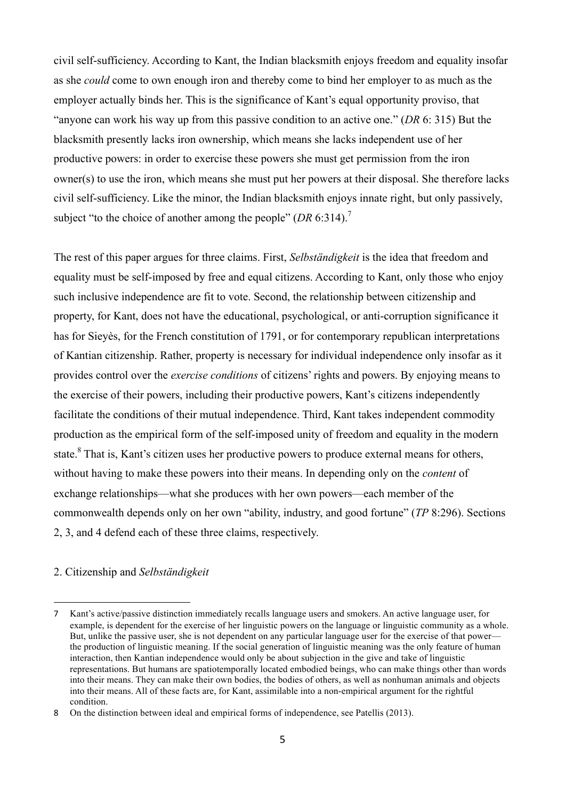civil self-sufficiency. According to Kant, the Indian blacksmith enjoys freedom and equality insofar as she *could* come to own enough iron and thereby come to bind her employer to as much as the employer actually binds her. This is the significance of Kant's equal opportunity proviso, that "anyone can work his way up from this passive condition to an active one." (*DR* 6: 315) But the blacksmith presently lacks iron ownership, which means she lacks independent use of her productive powers: in order to exercise these powers she must get permission from the iron owner(s) to use the iron, which means she must put her powers at their disposal. She therefore lacks civil self-sufficiency. Like the minor, the Indian blacksmith enjoys innate right, but only passively, subject "to the choice of another among the people" (*DR* 6:314).<sup>7</sup>

The rest of this paper argues for three claims. First, *Selbständigkeit* is the idea that freedom and equality must be self-imposed by free and equal citizens. According to Kant, only those who enjoy such inclusive independence are fit to vote. Second, the relationship between citizenship and property, for Kant, does not have the educational, psychological, or anti-corruption significance it has for Sieyès, for the French constitution of 1791, or for contemporary republican interpretations of Kantian citizenship. Rather, property is necessary for individual independence only insofar as it provides control over the *exercise conditions* of citizens' rights and powers. By enjoying means to the exercise of their powers, including their productive powers, Kant's citizens independently facilitate the conditions of their mutual independence. Third, Kant takes independent commodity production as the empirical form of the self-imposed unity of freedom and equality in the modern state.<sup>8</sup> That is, Kant's citizen uses her productive powers to produce external means for others, without having to make these powers into their means. In depending only on the *content* of exchange relationships—what she produces with her own powers—each member of the commonwealth depends only on her own "ability, industry, and good fortune" (*TP* 8:296). Sections 2, 3, and 4 defend each of these three claims, respectively.

# 2. Citizenship and *Selbständigkeit*

<sup>7</sup> Kant's active/passive distinction immediately recalls language users and smokers. An active language user, for example, is dependent for the exercise of her linguistic powers on the language or linguistic community as a whole. But, unlike the passive user, she is not dependent on any particular language user for the exercise of that power the production of linguistic meaning. If the social generation of linguistic meaning was the only feature of human interaction, then Kantian independence would only be about subjection in the give and take of linguistic representations. But humans are spatiotemporally located embodied beings, who can make things other than words into their means. They can make their own bodies, the bodies of others, as well as nonhuman animals and objects into their means. All of these facts are, for Kant, assimilable into a non-empirical argument for the rightful condition.

<sup>8</sup> On the distinction between ideal and empirical forms of independence, see Patellis (2013).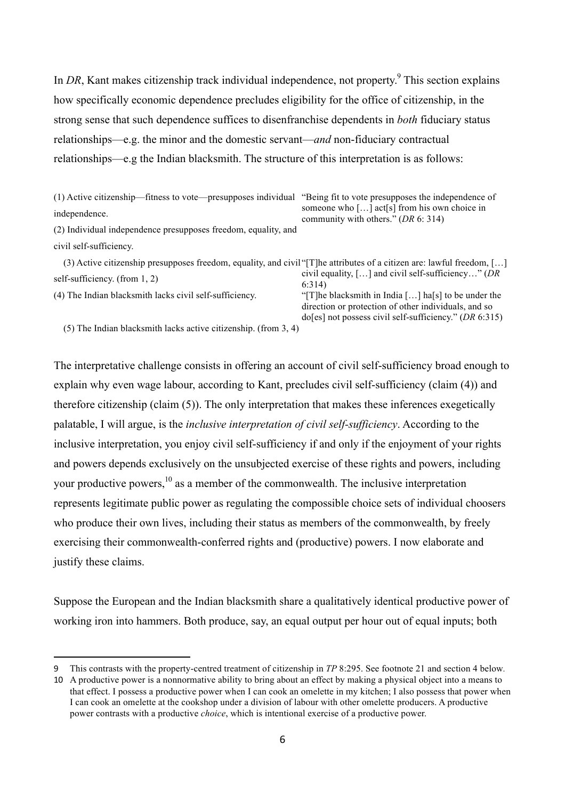In *DR*, Kant makes citizenship track individual independence, not property.<sup>9</sup> This section explains how specifically economic dependence precludes eligibility for the office of citizenship, in the strong sense that such dependence suffices to disenfranchise dependents in *both* fiduciary status relationships—e.g. the minor and the domestic servant—*and* non-fiduciary contractual relationships—e.g the Indian blacksmith. The structure of this interpretation is as follows:

| (1) Active citizenship—fitness to vote—presupposes individual                                                                                                                                                                                                                                                                                                                                                                                                | "Being fit to vote presupposes the independence of<br>someone who [] act[s] from his own choice in<br>community with others." $(DR 6: 314)$                                           |
|--------------------------------------------------------------------------------------------------------------------------------------------------------------------------------------------------------------------------------------------------------------------------------------------------------------------------------------------------------------------------------------------------------------------------------------------------------------|---------------------------------------------------------------------------------------------------------------------------------------------------------------------------------------|
| independence.                                                                                                                                                                                                                                                                                                                                                                                                                                                |                                                                                                                                                                                       |
| (2) Individual independence presupposes freedom, equality, and                                                                                                                                                                                                                                                                                                                                                                                               |                                                                                                                                                                                       |
| civil self-sufficiency.                                                                                                                                                                                                                                                                                                                                                                                                                                      |                                                                                                                                                                                       |
| (3) Active citizenship presupposes freedom, equality, and civil "[T] he attributes of a citizen are: lawful freedom, []                                                                                                                                                                                                                                                                                                                                      |                                                                                                                                                                                       |
| self-sufficiency. (from $1, 2$ )                                                                                                                                                                                                                                                                                                                                                                                                                             | civil equality, $[\dots]$ and civil self-sufficiency" ( <i>DR</i><br>6:314                                                                                                            |
| (4) The Indian blacksmith lacks civil self-sufficiency.                                                                                                                                                                                                                                                                                                                                                                                                      | "[T]he blacksmith in India [] ha[s] to be under the<br>direction or protection of other individuals, and so<br>$\text{do}[\text{es}]$ not possess civil self-sufficiency." (DR 6:315) |
| $\mathcal{L} = \mathcal{L} = \mathcal{L} = \mathcal{L} = \mathcal{L} = \mathcal{L} = \mathcal{L} = \mathcal{L} = \mathcal{L} = \mathcal{L} = \mathcal{L} = \mathcal{L} = \mathcal{L} = \mathcal{L} = \mathcal{L} = \mathcal{L} = \mathcal{L} = \mathcal{L} = \mathcal{L} = \mathcal{L} = \mathcal{L} = \mathcal{L} = \mathcal{L} = \mathcal{L} = \mathcal{L} = \mathcal{L} = \mathcal{L} = \mathcal{L} = \mathcal{L} = \mathcal{L} = \mathcal{L} = \mathcal$ |                                                                                                                                                                                       |

(5) The Indian blacksmith lacks active citizenship. (from 3, 4)

 

The interpretative challenge consists in offering an account of civil self-sufficiency broad enough to explain why even wage labour, according to Kant, precludes civil self-sufficiency (claim (4)) and therefore citizenship (claim (5)). The only interpretation that makes these inferences exegetically palatable, I will argue, is the *inclusive interpretation of civil self-sufficiency*. According to the inclusive interpretation, you enjoy civil self-sufficiency if and only if the enjoyment of your rights and powers depends exclusively on the unsubjected exercise of these rights and powers, including your productive powers,<sup>10</sup> as a member of the commonwealth. The inclusive interpretation represents legitimate public power as regulating the compossible choice sets of individual choosers who produce their own lives, including their status as members of the commonwealth, by freely exercising their commonwealth-conferred rights and (productive) powers. I now elaborate and justify these claims.

Suppose the European and the Indian blacksmith share a qualitatively identical productive power of working iron into hammers. Both produce, say, an equal output per hour out of equal inputs; both

<sup>9</sup> This contrasts with the property-centred treatment of citizenship in *TP* 8:295. See footnote 21 and section 4 below*.*

<sup>10</sup> A productive power is a nonnormative ability to bring about an effect by making a physical object into a means to that effect. I possess a productive power when I can cook an omelette in my kitchen; I also possess that power when I can cook an omelette at the cookshop under a division of labour with other omelette producers. A productive power contrasts with a productive *choice*, which is intentional exercise of a productive power.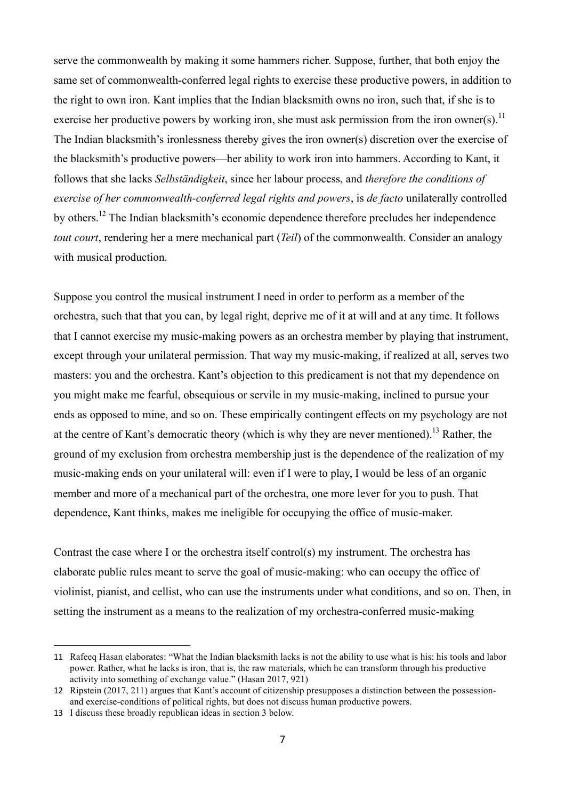serve the commonwealth by making it some hammers richer. Suppose, further, that both enjoy the same set of commonwealth-conferred legal rights to exercise these productive powers, in addition to the right to own iron. Kant implies that the Indian blacksmith owns no iron, such that, if she is to exercise her productive powers by working iron, she must ask permission from the iron owner(s).<sup>11</sup> The Indian blacksmith's ironlessness thereby gives the iron owner(s) discretion over the exercise of the blacksmith's productive powers—her ability to work iron into hammers. According to Kant, it follows that she lacks *Selbständigkeit*, since her labour process, and *therefore the conditions of exercise of her commonwealth-conferred legal rights and powers*, is *de facto* unilaterally controlled by others.12 The Indian blacksmith's economic dependence therefore precludes her independence *tout court*, rendering her a mere mechanical part (*Teil*) of the commonwealth. Consider an analogy with musical production.

Suppose you control the musical instrument I need in order to perform as a member of the orchestra, such that that you can, by legal right, deprive me of it at will and at any time. It follows that I cannot exercise my music-making powers as an orchestra member by playing that instrument, except through your unilateral permission. That way my music-making, if realized at all, serves two masters: you and the orchestra. Kant's objection to this predicament is not that my dependence on you might make me fearful, obsequious or servile in my music-making, inclined to pursue your ends as opposed to mine, and so on. These empirically contingent effects on my psychology are not at the centre of Kant's democratic theory (which is why they are never mentioned).<sup>13</sup> Rather, the ground of my exclusion from orchestra membership just is the dependence of the realization of my music-making ends on your unilateral will: even if I were to play, I would be less of an organic member and more of a mechanical part of the orchestra, one more lever for you to push. That dependence, Kant thinks, makes me ineligible for occupying the office of music-maker.

Contrast the case where I or the orchestra itself control(s) my instrument. The orchestra has elaborate public rules meant to serve the goal of music-making: who can occupy the office of violinist, pianist, and cellist, who can use the instruments under what conditions, and so on. Then, in setting the instrument as a means to the realization of my orchestra-conferred music-making

<sup>11</sup> Rafeeq Hasan elaborates: "What the Indian blacksmith lacks is not the ability to use what is his: his tools and labor power. Rather, what he lacks is iron, that is, the raw materials, which he can transform through his productive activity into something of exchange value." (Hasan 2017, 921)

<sup>12</sup> Ripstein (2017, 211) argues that Kant's account of citizenship presupposes a distinction between the possessionand exercise-conditions of political rights, but does not discuss human productive powers.

<sup>13</sup> I discuss these broadly republican ideas in section 3 below.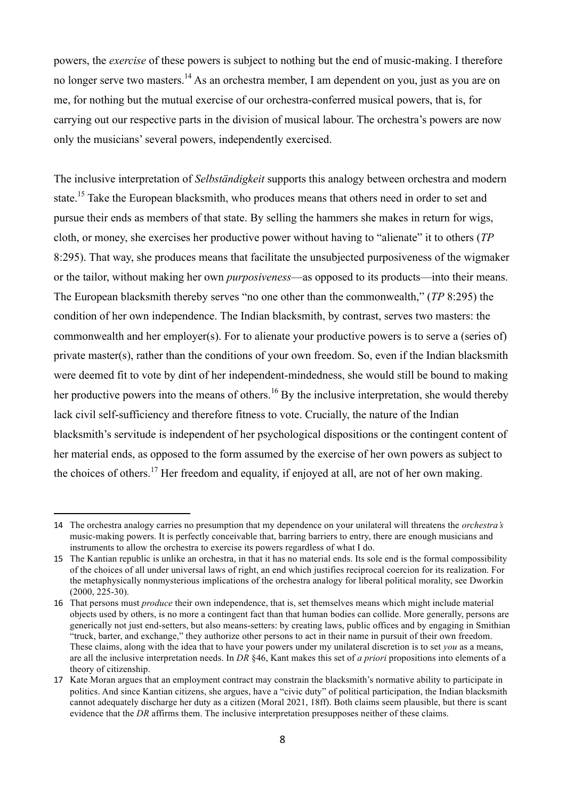powers, the *exercise* of these powers is subject to nothing but the end of music-making. I therefore no longer serve two masters.<sup>14</sup> As an orchestra member. I am dependent on you, just as you are on me, for nothing but the mutual exercise of our orchestra-conferred musical powers, that is, for carrying out our respective parts in the division of musical labour. The orchestra's powers are now only the musicians' several powers, independently exercised.

The inclusive interpretation of *Selbständigkeit* supports this analogy between orchestra and modern state.<sup>15</sup> Take the European blacksmith, who produces means that others need in order to set and pursue their ends as members of that state. By selling the hammers she makes in return for wigs, cloth, or money, she exercises her productive power without having to "alienate" it to others (*TP* 8:295). That way, she produces means that facilitate the unsubjected purposiveness of the wigmaker or the tailor, without making her own *purposiveness*—as opposed to its products—into their means. The European blacksmith thereby serves "no one other than the commonwealth," (*TP* 8:295) the condition of her own independence. The Indian blacksmith, by contrast, serves two masters: the commonwealth and her employer(s). For to alienate your productive powers is to serve a (series of) private master(s), rather than the conditions of your own freedom. So, even if the Indian blacksmith were deemed fit to vote by dint of her independent-mindedness, she would still be bound to making her productive powers into the means of others.<sup>16</sup> By the inclusive interpretation, she would thereby lack civil self-sufficiency and therefore fitness to vote. Crucially, the nature of the Indian blacksmith's servitude is independent of her psychological dispositions or the contingent content of her material ends, as opposed to the form assumed by the exercise of her own powers as subject to the choices of others.<sup>17</sup> Her freedom and equality, if enjoyed at all, are not of her own making.

<sup>14</sup> The orchestra analogy carries no presumption that my dependence on your unilateral will threatens the *orchestra's* music-making powers. It is perfectly conceivable that, barring barriers to entry, there are enough musicians and instruments to allow the orchestra to exercise its powers regardless of what I do.

<sup>15</sup> The Kantian republic is unlike an orchestra, in that it has no material ends. Its sole end is the formal compossibility of the choices of all under universal laws of right, an end which justifies reciprocal coercion for its realization. For the metaphysically nonmysterious implications of the orchestra analogy for liberal political morality, see Dworkin (2000, 225-30).

<sup>16</sup> That persons must *produce* their own independence, that is, set themselves means which might include material objects used by others, is no more a contingent fact than that human bodies can collide. More generally, persons are generically not just end-setters, but also means-setters: by creating laws, public offices and by engaging in Smithian "truck, barter, and exchange," they authorize other persons to act in their name in pursuit of their own freedom. These claims, along with the idea that to have your powers under my unilateral discretion is to set *you* as a means, are all the inclusive interpretation needs. In *DR* §46, Kant makes this set of *a priori* propositions into elements of a theory of citizenship.

<sup>17</sup> Kate Moran argues that an employment contract may constrain the blacksmith's normative ability to participate in politics. And since Kantian citizens, she argues, have a "civic duty" of political participation, the Indian blacksmith cannot adequately discharge her duty as a citizen (Moral 2021, 18ff). Both claims seem plausible, but there is scant evidence that the *DR* affirms them. The inclusive interpretation presupposes neither of these claims.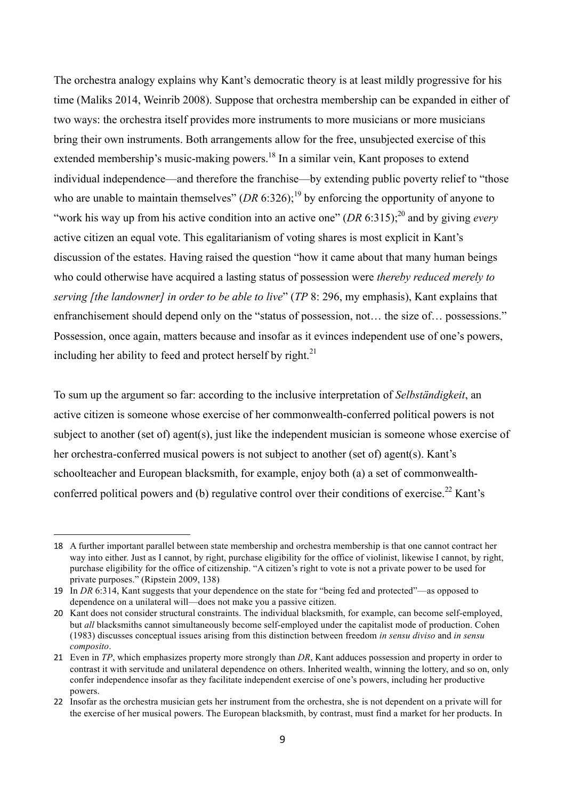The orchestra analogy explains why Kant's democratic theory is at least mildly progressive for his time (Maliks 2014, Weinrib 2008). Suppose that orchestra membership can be expanded in either of two ways: the orchestra itself provides more instruments to more musicians or more musicians bring their own instruments. Both arrangements allow for the free, unsubjected exercise of this extended membership's music-making powers.<sup>18</sup> In a similar vein, Kant proposes to extend individual independence—and therefore the franchise—by extending public poverty relief to "those who are unable to maintain themselves"  $(DR 6:326)$ ;<sup>19</sup> by enforcing the opportunity of anyone to "work his way up from his active condition into an active one"  $(DR 6:315)$ ;<sup>20</sup> and by giving *every* active citizen an equal vote. This egalitarianism of voting shares is most explicit in Kant's discussion of the estates. Having raised the question "how it came about that many human beings who could otherwise have acquired a lasting status of possession were *thereby reduced merely to serving [the landowner] in order to be able to live*" (*TP* 8: 296, my emphasis), Kant explains that enfranchisement should depend only on the "status of possession, not… the size of… possessions." Possession, once again, matters because and insofar as it evinces independent use of one's powers, including her ability to feed and protect herself by right. $^{21}$ 

To sum up the argument so far: according to the inclusive interpretation of *Selbständigkeit*, an active citizen is someone whose exercise of her commonwealth-conferred political powers is not subject to another (set of) agent(s), just like the independent musician is someone whose exercise of her orchestra-conferred musical powers is not subject to another (set of) agent(s). Kant's schoolteacher and European blacksmith, for example, enjoy both (a) a set of commonwealthconferred political powers and (b) regulative control over their conditions of exercise.<sup>22</sup> Kant's

<sup>18</sup> A further important parallel between state membership and orchestra membership is that one cannot contract her way into either. Just as I cannot, by right, purchase eligibility for the office of violinist, likewise I cannot, by right, purchase eligibility for the office of citizenship. "A citizen's right to vote is not a private power to be used for private purposes." (Ripstein 2009, 138)

<sup>19</sup> In *DR* 6:314, Kant suggests that your dependence on the state for "being fed and protected"—as opposed to dependence on a unilateral will—does not make you a passive citizen.

<sup>20</sup> Kant does not consider structural constraints. The individual blacksmith, for example, can become self-employed, but *all* blacksmiths cannot simultaneously become self-employed under the capitalist mode of production. Cohen (1983) discusses conceptual issues arising from this distinction between freedom *in sensu diviso* and *in sensu composito*.

<sup>21</sup> Even in *TP*, which emphasizes property more strongly than *DR*, Kant adduces possession and property in order to contrast it with servitude and unilateral dependence on others. Inherited wealth, winning the lottery, and so on, only confer independence insofar as they facilitate independent exercise of one's powers, including her productive powers.

<sup>22</sup> Insofar as the orchestra musician gets her instrument from the orchestra, she is not dependent on a private will for the exercise of her musical powers. The European blacksmith, by contrast, must find a market for her products. In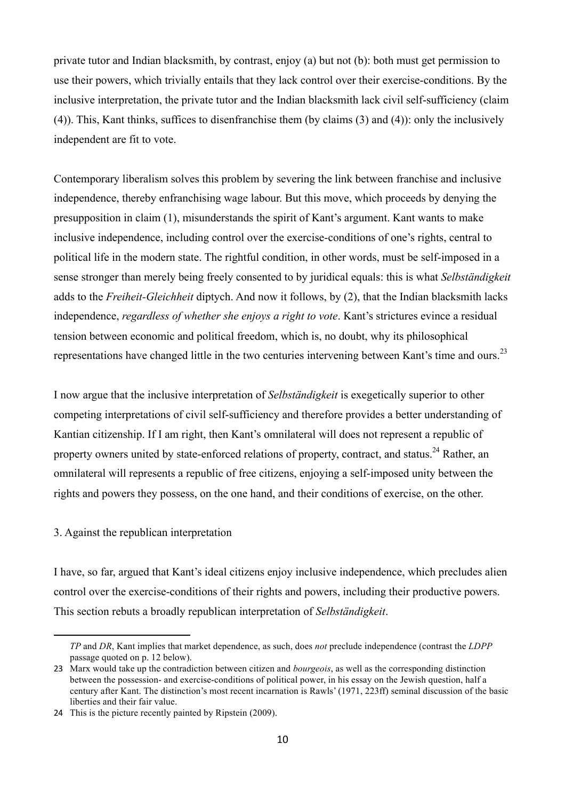private tutor and Indian blacksmith, by contrast, enjoy (a) but not (b): both must get permission to use their powers, which trivially entails that they lack control over their exercise-conditions. By the inclusive interpretation, the private tutor and the Indian blacksmith lack civil self-sufficiency (claim (4)). This, Kant thinks, suffices to disenfranchise them (by claims (3) and (4)): only the inclusively independent are fit to vote.

Contemporary liberalism solves this problem by severing the link between franchise and inclusive independence, thereby enfranchising wage labour. But this move, which proceeds by denying the presupposition in claim (1), misunderstands the spirit of Kant's argument. Kant wants to make inclusive independence, including control over the exercise-conditions of one's rights, central to political life in the modern state. The rightful condition, in other words, must be self-imposed in a sense stronger than merely being freely consented to by juridical equals: this is what *Selbständigkeit*  adds to the *Freiheit-Gleichheit* diptych. And now it follows, by (2), that the Indian blacksmith lacks independence, *regardless of whether she enjoys a right to vote*. Kant's strictures evince a residual tension between economic and political freedom, which is, no doubt, why its philosophical representations have changed little in the two centuries intervening between Kant's time and ours.<sup>23</sup>

I now argue that the inclusive interpretation of *Selbständigkeit* is exegetically superior to other competing interpretations of civil self-sufficiency and therefore provides a better understanding of Kantian citizenship. If I am right, then Kant's omnilateral will does not represent a republic of property owners united by state-enforced relations of property, contract, and status.<sup>24</sup> Rather, an omnilateral will represents a republic of free citizens, enjoying a self-imposed unity between the rights and powers they possess, on the one hand, and their conditions of exercise, on the other.

#### 3. Against the republican interpretation

 

I have, so far, argued that Kant's ideal citizens enjoy inclusive independence, which precludes alien control over the exercise-conditions of their rights and powers, including their productive powers. This section rebuts a broadly republican interpretation of *Selbständigkeit*.

*TP* and *DR*, Kant implies that market dependence, as such, does *not* preclude independence (contrast the *LDPP* passage quoted on p. 12 below).

<sup>23</sup> Marx would take up the contradiction between citizen and *bourgeois*, as well as the corresponding distinction between the possession- and exercise-conditions of political power, in his essay on the Jewish question, half a century after Kant. The distinction's most recent incarnation is Rawls' (1971, 223ff) seminal discussion of the basic liberties and their fair value.

<sup>24</sup> This is the picture recently painted by Ripstein (2009).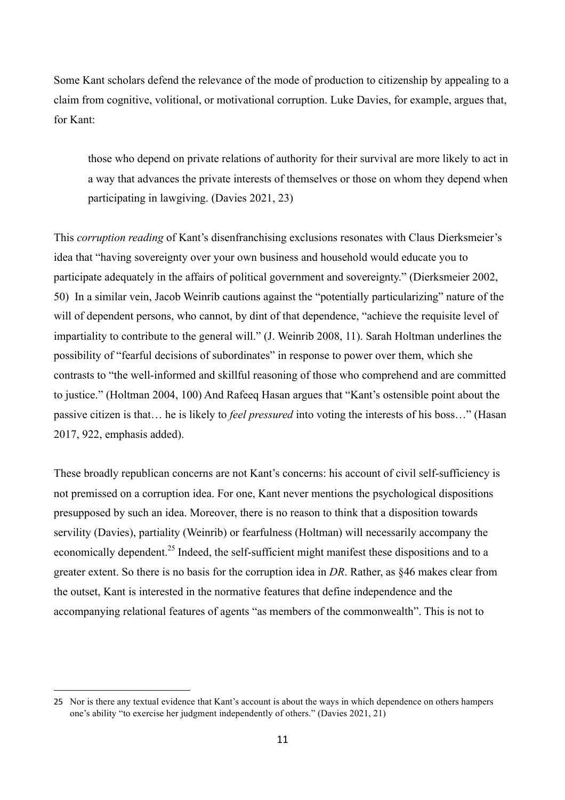Some Kant scholars defend the relevance of the mode of production to citizenship by appealing to a claim from cognitive, volitional, or motivational corruption. Luke Davies, for example, argues that, for Kant:

those who depend on private relations of authority for their survival are more likely to act in a way that advances the private interests of themselves or those on whom they depend when participating in lawgiving. (Davies 2021, 23)

This *corruption reading* of Kant's disenfranchising exclusions resonates with Claus Dierksmeier's idea that "having sovereignty over your own business and household would educate you to participate adequately in the affairs of political government and sovereignty." (Dierksmeier 2002, 50) In a similar vein, Jacob Weinrib cautions against the "potentially particularizing" nature of the will of dependent persons, who cannot, by dint of that dependence, "achieve the requisite level of impartiality to contribute to the general will." (J. Weinrib 2008, 11). Sarah Holtman underlines the possibility of "fearful decisions of subordinates" in response to power over them, which she contrasts to "the well-informed and skillful reasoning of those who comprehend and are committed to justice." (Holtman 2004, 100) And Rafeeq Hasan argues that "Kant's ostensible point about the passive citizen is that… he is likely to *feel pressured* into voting the interests of his boss…" (Hasan 2017, 922, emphasis added).

These broadly republican concerns are not Kant's concerns: his account of civil self-sufficiency is not premissed on a corruption idea. For one, Kant never mentions the psychological dispositions presupposed by such an idea. Moreover, there is no reason to think that a disposition towards servility (Davies), partiality (Weinrib) or fearfulness (Holtman) will necessarily accompany the economically dependent.<sup>25</sup> Indeed, the self-sufficient might manifest these dispositions and to a greater extent. So there is no basis for the corruption idea in *DR*. Rather, as §46 makes clear from the outset, Kant is interested in the normative features that define independence and the accompanying relational features of agents "as members of the commonwealth". This is not to

<sup>25</sup> Nor is there any textual evidence that Kant's account is about the ways in which dependence on others hampers one's ability "to exercise her judgment independently of others." (Davies 2021, 21)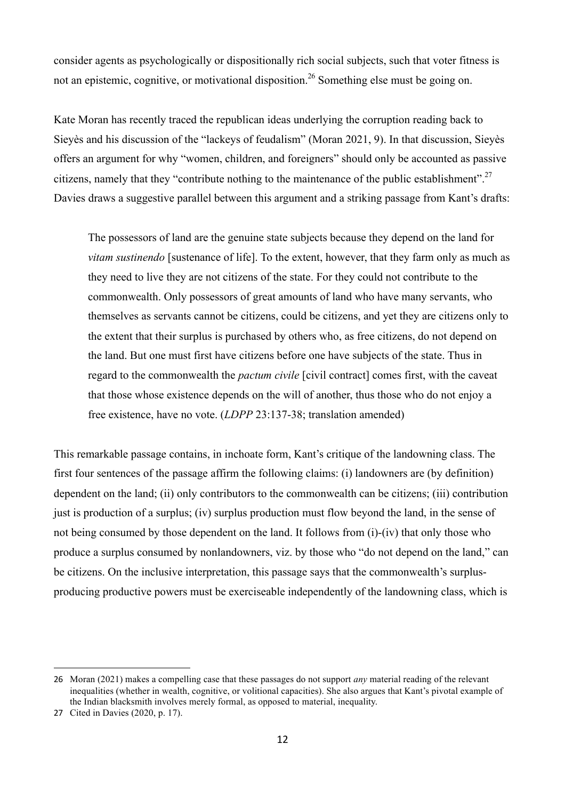consider agents as psychologically or dispositionally rich social subjects, such that voter fitness is not an epistemic, cognitive, or motivational disposition.<sup>26</sup> Something else must be going on.

Kate Moran has recently traced the republican ideas underlying the corruption reading back to Sieyès and his discussion of the "lackeys of feudalism" (Moran 2021, 9). In that discussion, Sieyès offers an argument for why "women, children, and foreigners" should only be accounted as passive citizens, namely that they "contribute nothing to the maintenance of the public establishment".<sup>27</sup> Davies draws a suggestive parallel between this argument and a striking passage from Kant's drafts:

The possessors of land are the genuine state subjects because they depend on the land for *vitam sustinendo* [sustenance of life]. To the extent, however, that they farm only as much as they need to live they are not citizens of the state. For they could not contribute to the commonwealth. Only possessors of great amounts of land who have many servants, who themselves as servants cannot be citizens, could be citizens, and yet they are citizens only to the extent that their surplus is purchased by others who, as free citizens, do not depend on the land. But one must first have citizens before one have subjects of the state. Thus in regard to the commonwealth the *pactum civile* [civil contract] comes first, with the caveat that those whose existence depends on the will of another, thus those who do not enjoy a free existence, have no vote. (*LDPP* 23:137-38; translation amended)

This remarkable passage contains, in inchoate form, Kant's critique of the landowning class. The first four sentences of the passage affirm the following claims: (i) landowners are (by definition) dependent on the land; (ii) only contributors to the commonwealth can be citizens; (iii) contribution just is production of a surplus; (iv) surplus production must flow beyond the land, in the sense of not being consumed by those dependent on the land. It follows from (i)-(iv) that only those who produce a surplus consumed by nonlandowners, viz. by those who "do not depend on the land," can be citizens. On the inclusive interpretation, this passage says that the commonwealth's surplusproducing productive powers must be exerciseable independently of the landowning class, which is

<sup>26</sup> Moran (2021) makes a compelling case that these passages do not support *any* material reading of the relevant inequalities (whether in wealth, cognitive, or volitional capacities). She also argues that Kant's pivotal example of the Indian blacksmith involves merely formal, as opposed to material, inequality.

<sup>27</sup> Cited in Davies (2020, p. 17).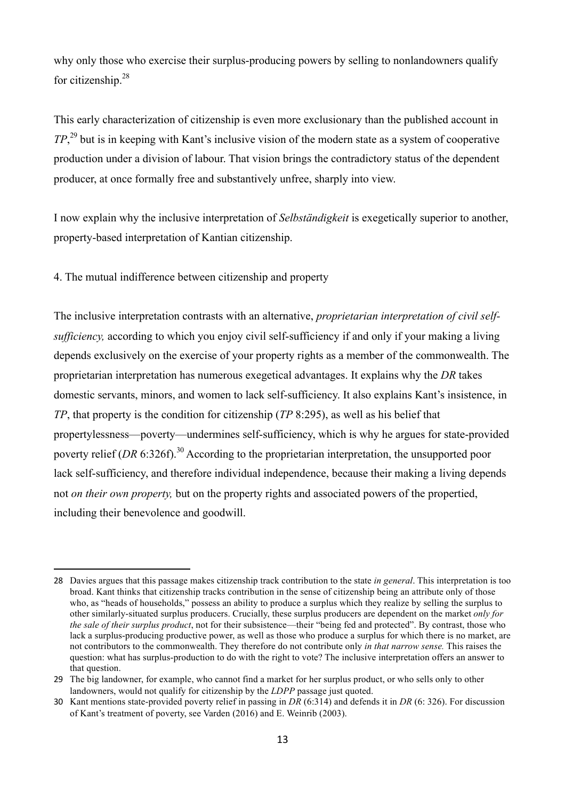why only those who exercise their surplus-producing powers by selling to nonlandowners qualify for citizenship.<sup>28</sup>

This early characterization of citizenship is even more exclusionary than the published account in *TP*, <sup>29</sup> but is in keeping with Kant's inclusive vision of the modern state as a system of cooperative production under a division of labour. That vision brings the contradictory status of the dependent producer, at once formally free and substantively unfree, sharply into view.

I now explain why the inclusive interpretation of *Selbständigkeit* is exegetically superior to another, property-based interpretation of Kantian citizenship.

4. The mutual indifference between citizenship and property

 

The inclusive interpretation contrasts with an alternative, *proprietarian interpretation of civil selfsufficiency,* according to which you enjoy civil self-sufficiency if and only if your making a living depends exclusively on the exercise of your property rights as a member of the commonwealth. The proprietarian interpretation has numerous exegetical advantages. It explains why the *DR* takes domestic servants, minors, and women to lack self-sufficiency. It also explains Kant's insistence, in *TP*, that property is the condition for citizenship (*TP* 8:295), as well as his belief that propertylessness—poverty—undermines self-sufficiency, which is why he argues for state-provided poverty relief (*DR* 6:326f)<sup>30</sup> According to the proprietarian interpretation, the unsupported poor lack self-sufficiency, and therefore individual independence, because their making a living depends not *on their own property,* but on the property rights and associated powers of the propertied, including their benevolence and goodwill.

<sup>28</sup> Davies argues that this passage makes citizenship track contribution to the state *in general*. This interpretation is too broad. Kant thinks that citizenship tracks contribution in the sense of citizenship being an attribute only of those who, as "heads of households," possess an ability to produce a surplus which they realize by selling the surplus to other similarly-situated surplus producers. Crucially, these surplus producers are dependent on the market *only for the sale of their surplus product*, not for their subsistence—their "being fed and protected". By contrast, those who lack a surplus-producing productive power, as well as those who produce a surplus for which there is no market, are not contributors to the commonwealth. They therefore do not contribute only *in that narrow sense.* This raises the question: what has surplus-production to do with the right to vote? The inclusive interpretation offers an answer to that question.

<sup>29</sup> The big landowner, for example, who cannot find a market for her surplus product, or who sells only to other landowners, would not qualify for citizenship by the *LDPP* passage just quoted.

<sup>30</sup> Kant mentions state-provided poverty relief in passing in *DR* (6:314) and defends it in *DR* (6: 326). For discussion of Kant's treatment of poverty, see Varden (2016) and E. Weinrib (2003).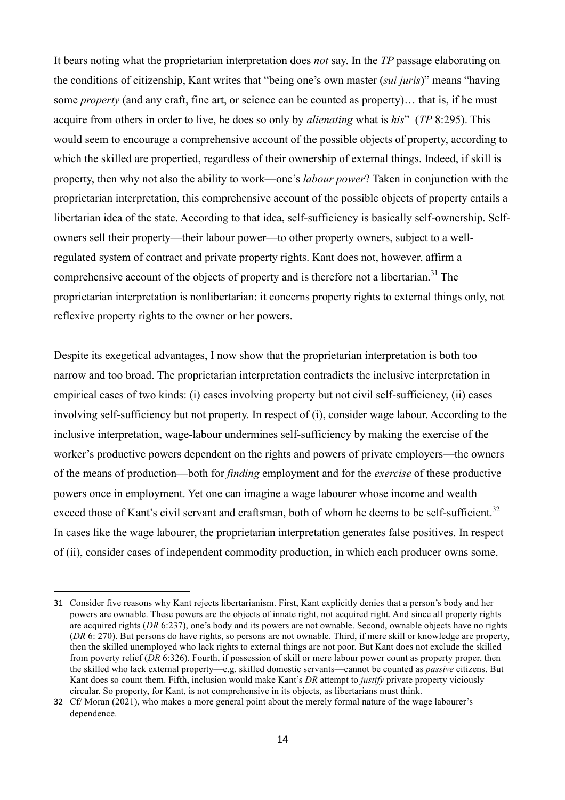It bears noting what the proprietarian interpretation does *not* say. In the *TP* passage elaborating on the conditions of citizenship, Kant writes that "being one's own master (*sui juris*)" means "having some *property* (and any craft, fine art, or science can be counted as property)… that is, if he must acquire from others in order to live, he does so only by *alienating* what is *his*" (*TP* 8:295). This would seem to encourage a comprehensive account of the possible objects of property, according to which the skilled are propertied, regardless of their ownership of external things. Indeed, if skill is property, then why not also the ability to work—one's *labour power*? Taken in conjunction with the proprietarian interpretation, this comprehensive account of the possible objects of property entails a libertarian idea of the state. According to that idea, self-sufficiency is basically self-ownership. Selfowners sell their property—their labour power—to other property owners, subject to a wellregulated system of contract and private property rights. Kant does not, however, affirm a comprehensive account of the objects of property and is therefore not a libertarian.<sup>31</sup> The proprietarian interpretation is nonlibertarian: it concerns property rights to external things only, not reflexive property rights to the owner or her powers.

Despite its exegetical advantages, I now show that the proprietarian interpretation is both too narrow and too broad. The proprietarian interpretation contradicts the inclusive interpretation in empirical cases of two kinds: (i) cases involving property but not civil self-sufficiency, (ii) cases involving self-sufficiency but not property. In respect of (i), consider wage labour. According to the inclusive interpretation, wage-labour undermines self-sufficiency by making the exercise of the worker's productive powers dependent on the rights and powers of private employers—the owners of the means of production—both for *finding* employment and for the *exercise* of these productive powers once in employment. Yet one can imagine a wage labourer whose income and wealth exceed those of Kant's civil servant and craftsman, both of whom he deems to be self-sufficient.<sup>32</sup> In cases like the wage labourer, the proprietarian interpretation generates false positives. In respect of (ii), consider cases of independent commodity production, in which each producer owns some,

<sup>31</sup> Consider five reasons why Kant rejects libertarianism. First, Kant explicitly denies that a person's body and her powers are ownable. These powers are the objects of innate right, not acquired right. And since all property rights are acquired rights (*DR* 6:237), one's body and its powers are not ownable. Second, ownable objects have no rights (*DR* 6: 270). But persons do have rights, so persons are not ownable. Third, if mere skill or knowledge are property, then the skilled unemployed who lack rights to external things are not poor. But Kant does not exclude the skilled from poverty relief (*DR* 6:326). Fourth, if possession of skill or mere labour power count as property proper, then the skilled who lack external property—e.g. skilled domestic servants—cannot be counted as *passive* citizens. But Kant does so count them. Fifth, inclusion would make Kant's *DR* attempt to *justify* private property viciously circular. So property, for Kant, is not comprehensive in its objects, as libertarians must think.

<sup>32</sup> Cf/ Moran (2021), who makes a more general point about the merely formal nature of the wage labourer's dependence.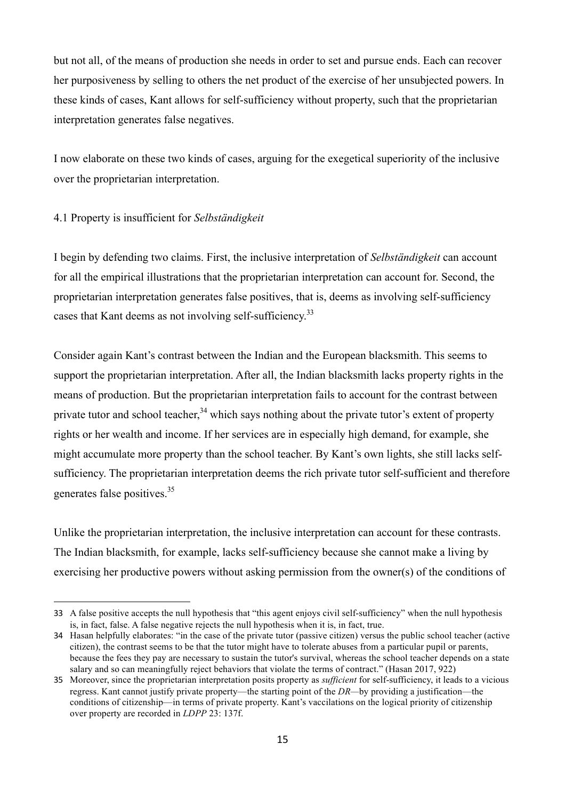but not all, of the means of production she needs in order to set and pursue ends. Each can recover her purposiveness by selling to others the net product of the exercise of her unsubjected powers. In these kinds of cases, Kant allows for self-sufficiency without property, such that the proprietarian interpretation generates false negatives.

I now elaborate on these two kinds of cases, arguing for the exegetical superiority of the inclusive over the proprietarian interpretation.

# 4.1 Property is insufficient for *Selbständigkeit*

 

I begin by defending two claims. First, the inclusive interpretation of *Selbständigkeit* can account for all the empirical illustrations that the proprietarian interpretation can account for. Second, the proprietarian interpretation generates false positives, that is, deems as involving self-sufficiency cases that Kant deems as not involving self-sufficiency.<sup>33</sup>

Consider again Kant's contrast between the Indian and the European blacksmith. This seems to support the proprietarian interpretation. After all, the Indian blacksmith lacks property rights in the means of production. But the proprietarian interpretation fails to account for the contrast between private tutor and school teacher.<sup>34</sup> which says nothing about the private tutor's extent of property rights or her wealth and income. If her services are in especially high demand, for example, she might accumulate more property than the school teacher. By Kant's own lights, she still lacks selfsufficiency. The proprietarian interpretation deems the rich private tutor self-sufficient and therefore generates false positives.<sup>35</sup>

Unlike the proprietarian interpretation, the inclusive interpretation can account for these contrasts. The Indian blacksmith, for example, lacks self-sufficiency because she cannot make a living by exercising her productive powers without asking permission from the owner(s) of the conditions of

<sup>33</sup> A false positive accepts the null hypothesis that "this agent enjoys civil self-sufficiency" when the null hypothesis is, in fact, false. A false negative rejects the null hypothesis when it is, in fact, true.

<sup>34</sup> Hasan helpfully elaborates: "in the case of the private tutor (passive citizen) versus the public school teacher (active citizen), the contrast seems to be that the tutor might have to tolerate abuses from a particular pupil or parents, because the fees they pay are necessary to sustain the tutor's survival, whereas the school teacher depends on a state salary and so can meaningfully reject behaviors that violate the terms of contract." (Hasan 2017, 922)

<sup>35</sup> Moreover, since the proprietarian interpretation posits property as *sufficient* for self-sufficiency, it leads to a vicious regress. Kant cannot justify private property—the starting point of the *DR—*by providing a justification—the conditions of citizenship—in terms of private property. Kant's vaccilations on the logical priority of citizenship over property are recorded in *LDPP* 23: 137f.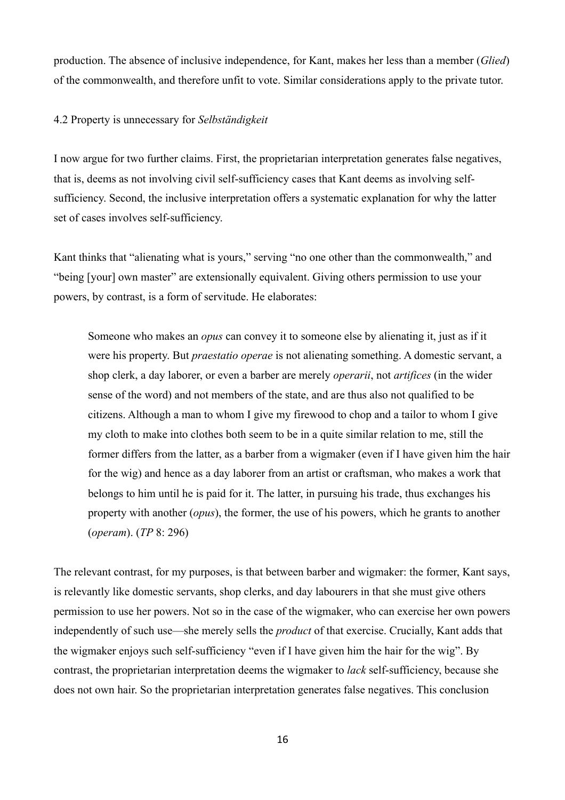production. The absence of inclusive independence, for Kant, makes her less than a member (*Glied*) of the commonwealth, and therefore unfit to vote. Similar considerations apply to the private tutor.

# 4.2 Property is unnecessary for *Selbständigkeit*

I now argue for two further claims. First, the proprietarian interpretation generates false negatives, that is, deems as not involving civil self-sufficiency cases that Kant deems as involving selfsufficiency. Second, the inclusive interpretation offers a systematic explanation for why the latter set of cases involves self-sufficiency.

Kant thinks that "alienating what is yours," serving "no one other than the commonwealth," and "being [your] own master" are extensionally equivalent. Giving others permission to use your powers, by contrast, is a form of servitude. He elaborates:

Someone who makes an *opus* can convey it to someone else by alienating it, just as if it were his property. But *praestatio operae* is not alienating something. A domestic servant, a shop clerk, a day laborer, or even a barber are merely *operarii*, not *artifices* (in the wider sense of the word) and not members of the state, and are thus also not qualified to be citizens. Although a man to whom I give my firewood to chop and a tailor to whom I give my cloth to make into clothes both seem to be in a quite similar relation to me, still the former differs from the latter, as a barber from a wigmaker (even if I have given him the hair for the wig) and hence as a day laborer from an artist or craftsman, who makes a work that belongs to him until he is paid for it. The latter, in pursuing his trade, thus exchanges his property with another (*opus*), the former, the use of his powers, which he grants to another (*operam*). (*TP* 8: 296)

The relevant contrast, for my purposes, is that between barber and wigmaker: the former, Kant says, is relevantly like domestic servants, shop clerks, and day labourers in that she must give others permission to use her powers. Not so in the case of the wigmaker, who can exercise her own powers independently of such use—she merely sells the *product* of that exercise. Crucially, Kant adds that the wigmaker enjoys such self-sufficiency "even if I have given him the hair for the wig". By contrast, the proprietarian interpretation deems the wigmaker to *lack* self-sufficiency, because she does not own hair. So the proprietarian interpretation generates false negatives. This conclusion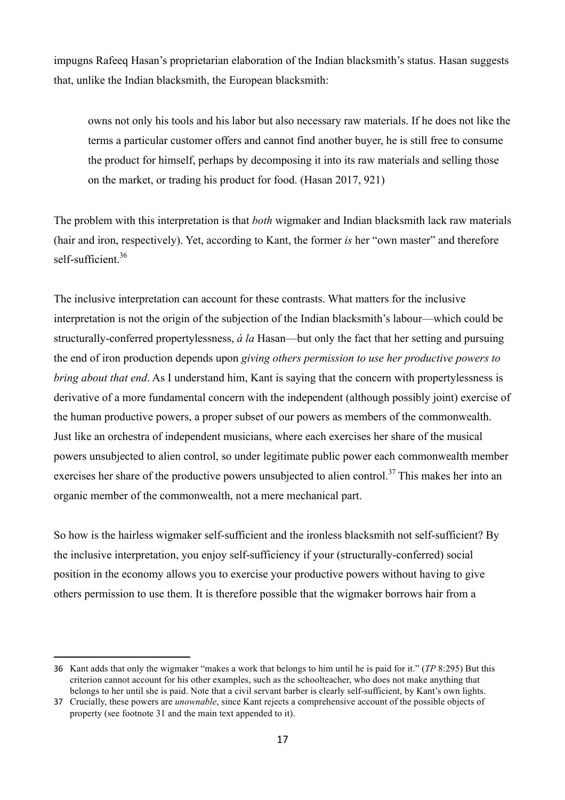impugns Rafeeq Hasan's proprietarian elaboration of the Indian blacksmith's status. Hasan suggests that, unlike the Indian blacksmith, the European blacksmith:

owns not only his tools and his labor but also necessary raw materials. If he does not like the terms a particular customer offers and cannot find another buyer, he is still free to consume the product for himself, perhaps by decomposing it into its raw materials and selling those on the market, or trading his product for food. (Hasan 2017, 921)

The problem with this interpretation is that *both* wigmaker and Indian blacksmith lack raw materials (hair and iron, respectively). Yet, according to Kant, the former *is* her "own master" and therefore self-sufficient.<sup>36</sup>

The inclusive interpretation can account for these contrasts. What matters for the inclusive interpretation is not the origin of the subjection of the Indian blacksmith's labour—which could be structurally-conferred propertylessness, *à la* Hasan—but only the fact that her setting and pursuing the end of iron production depends upon *giving others permission to use her productive powers to bring about that end*. As I understand him, Kant is saying that the concern with propertylessness is derivative of a more fundamental concern with the independent (although possibly joint) exercise of the human productive powers, a proper subset of our powers as members of the commonwealth. Just like an orchestra of independent musicians, where each exercises her share of the musical powers unsubjected to alien control, so under legitimate public power each commonwealth member exercises her share of the productive powers unsubjected to alien control.<sup>37</sup> This makes her into an organic member of the commonwealth, not a mere mechanical part.

So how is the hairless wigmaker self-sufficient and the ironless blacksmith not self-sufficient? By the inclusive interpretation, you enjoy self-sufficiency if your (structurally-conferred) social position in the economy allows you to exercise your productive powers without having to give others permission to use them. It is therefore possible that the wigmaker borrows hair from a

<sup>36</sup> Kant adds that only the wigmaker "makes a work that belongs to him until he is paid for it." (*TP* 8:295) But this criterion cannot account for his other examples, such as the schoolteacher, who does not make anything that belongs to her until she is paid. Note that a civil servant barber is clearly self-sufficient, by Kant's own lights.

<sup>37</sup> Crucially, these powers are *unownable*, since Kant rejects a comprehensive account of the possible objects of property (see footnote 31 and the main text appended to it).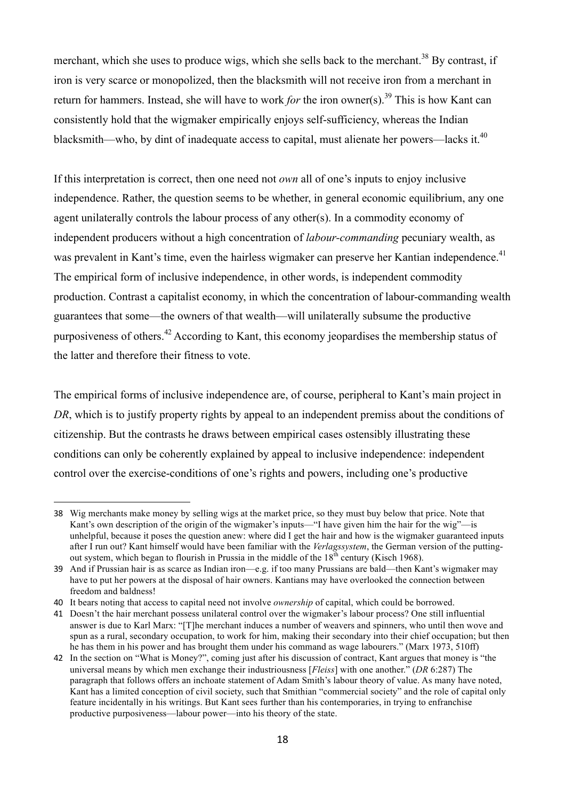merchant, which she uses to produce wigs, which she sells back to the merchant.<sup>38</sup> By contrast, if iron is very scarce or monopolized, then the blacksmith will not receive iron from a merchant in return for hammers. Instead, she will have to work *for* the iron owner(s).<sup>39</sup> This is how Kant can consistently hold that the wigmaker empirically enjoys self-sufficiency, whereas the Indian blacksmith—who, by dint of inadequate access to capital, must alienate her powers—lacks it.<sup>40</sup>

If this interpretation is correct, then one need not *own* all of one's inputs to enjoy inclusive independence. Rather, the question seems to be whether, in general economic equilibrium, any one agent unilaterally controls the labour process of any other(s). In a commodity economy of independent producers without a high concentration of *labour-commanding* pecuniary wealth, as was prevalent in Kant's time, even the hairless wigmaker can preserve her Kantian independence.<sup>41</sup> The empirical form of inclusive independence, in other words, is independent commodity production. Contrast a capitalist economy, in which the concentration of labour-commanding wealth guarantees that some—the owners of that wealth—will unilaterally subsume the productive purposiveness of others.<sup>42</sup> According to Kant, this economy jeopardises the membership status of the latter and therefore their fitness to vote.

The empirical forms of inclusive independence are, of course, peripheral to Kant's main project in *DR*, which is to justify property rights by appeal to an independent premiss about the conditions of citizenship. But the contrasts he draws between empirical cases ostensibly illustrating these conditions can only be coherently explained by appeal to inclusive independence: independent control over the exercise-conditions of one's rights and powers, including one's productive

<sup>38</sup> Wig merchants make money by selling wigs at the market price, so they must buy below that price. Note that Kant's own description of the origin of the wigmaker's inputs—"I have given him the hair for the wig"—is unhelpful, because it poses the question anew: where did I get the hair and how is the wigmaker guaranteed inputs after I run out? Kant himself would have been familiar with the *Verlagssystem*, the German version of the puttingout system, which began to flourish in Prussia in the middle of the  $18<sup>th</sup>$  century (Kisch 1968).

<sup>39</sup> And if Prussian hair is as scarce as Indian iron—e.g. if too many Prussians are bald—then Kant's wigmaker may have to put her powers at the disposal of hair owners. Kantians may have overlooked the connection between freedom and baldness!

<sup>40</sup> It bears noting that access to capital need not involve *ownership* of capital, which could be borrowed.

<sup>41</sup> Doesn't the hair merchant possess unilateral control over the wigmaker's labour process? One still influential answer is due to Karl Marx: "[T]he merchant induces a number of weavers and spinners, who until then wove and spun as a rural, secondary occupation, to work for him, making their secondary into their chief occupation; but then he has them in his power and has brought them under his command as wage labourers." (Marx 1973, 510ff)

<sup>42</sup> In the section on "What is Money?", coming just after his discussion of contract, Kant argues that money is "the universal means by which men exchange their industriousness [*Fleiss*] with one another." (*DR* 6:287) The paragraph that follows offers an inchoate statement of Adam Smith's labour theory of value. As many have noted, Kant has a limited conception of civil society, such that Smithian "commercial society" and the role of capital only feature incidentally in his writings. But Kant sees further than his contemporaries, in trying to enfranchise productive purposiveness—labour power—into his theory of the state.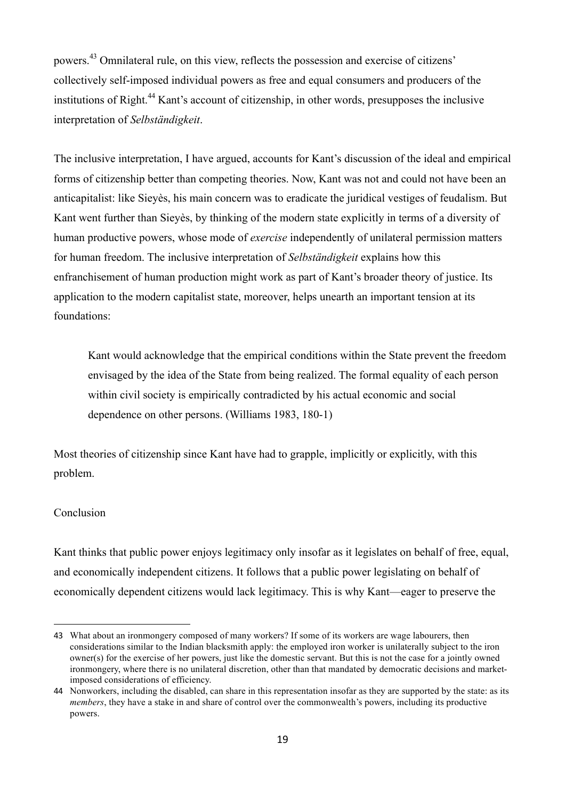powers.<sup>43</sup> Omnilateral rule, on this view, reflects the possession and exercise of citizens' collectively self-imposed individual powers as free and equal consumers and producers of the institutions of Right.<sup>44</sup> Kant's account of citizenship, in other words, presupposes the inclusive interpretation of *Selbständigkeit*.

The inclusive interpretation, I have argued, accounts for Kant's discussion of the ideal and empirical forms of citizenship better than competing theories. Now, Kant was not and could not have been an anticapitalist: like Sieyès, his main concern was to eradicate the juridical vestiges of feudalism. But Kant went further than Sieyès, by thinking of the modern state explicitly in terms of a diversity of human productive powers, whose mode of *exercise* independently of unilateral permission matters for human freedom. The inclusive interpretation of *Selbständigkeit* explains how this enfranchisement of human production might work as part of Kant's broader theory of justice. Its application to the modern capitalist state, moreover, helps unearth an important tension at its foundations:

Kant would acknowledge that the empirical conditions within the State prevent the freedom envisaged by the idea of the State from being realized. The formal equality of each person within civil society is empirically contradicted by his actual economic and social dependence on other persons. (Williams 1983, 180-1)

Most theories of citizenship since Kant have had to grapple, implicitly or explicitly, with this problem.

# **Conclusion**

 

Kant thinks that public power enjoys legitimacy only insofar as it legislates on behalf of free, equal, and economically independent citizens. It follows that a public power legislating on behalf of economically dependent citizens would lack legitimacy. This is why Kant—eager to preserve the

<sup>43</sup> What about an ironmongery composed of many workers? If some of its workers are wage labourers, then considerations similar to the Indian blacksmith apply: the employed iron worker is unilaterally subject to the iron owner(s) for the exercise of her powers, just like the domestic servant. But this is not the case for a jointly owned ironmongery, where there is no unilateral discretion, other than that mandated by democratic decisions and marketimposed considerations of efficiency.

<sup>44</sup> Nonworkers, including the disabled, can share in this representation insofar as they are supported by the state: as its *members*, they have a stake in and share of control over the commonwealth's powers, including its productive powers.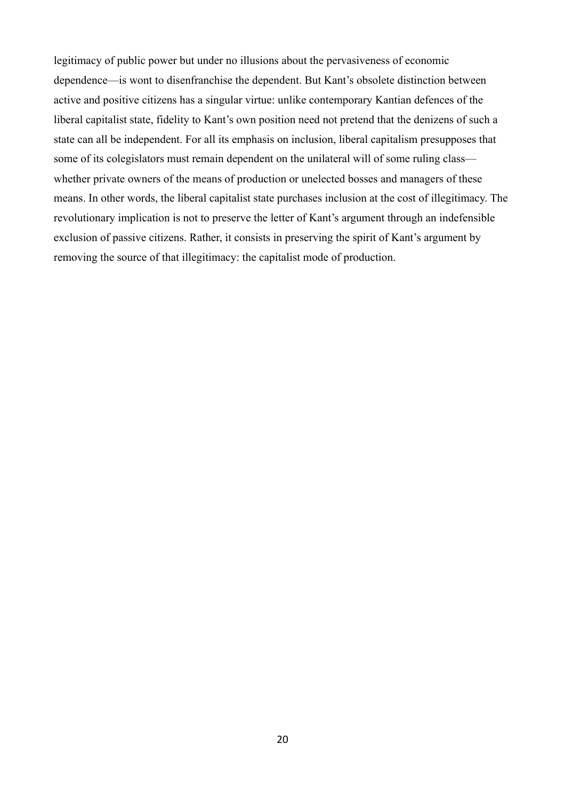legitimacy of public power but under no illusions about the pervasiveness of economic dependence—is wont to disenfranchise the dependent. But Kant's obsolete distinction between active and positive citizens has a singular virtue: unlike contemporary Kantian defences of the liberal capitalist state, fidelity to Kant's own position need not pretend that the denizens of such a state can all be independent. For all its emphasis on inclusion, liberal capitalism presupposes that some of its colegislators must remain dependent on the unilateral will of some ruling class whether private owners of the means of production or unelected bosses and managers of these means. In other words, the liberal capitalist state purchases inclusion at the cost of illegitimacy. The revolutionary implication is not to preserve the letter of Kant's argument through an indefensible exclusion of passive citizens. Rather, it consists in preserving the spirit of Kant's argument by removing the source of that illegitimacy: the capitalist mode of production.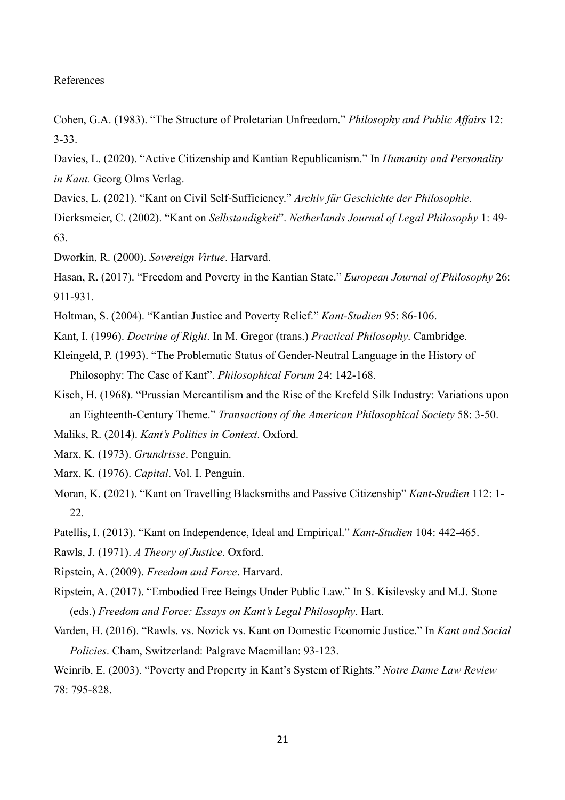#### References

- Cohen, G.A. (1983). "The Structure of Proletarian Unfreedom." *Philosophy and Public Affairs* 12: 3-33.
- Davies, L. (2020). "Active Citizenship and Kantian Republicanism." In *Humanity and Personality in Kant.* Georg Olms Verlag.
- Davies, L. (2021). "Kant on Civil Self-Sufficiency." *Archiv für Geschichte der Philosophie*. Dierksmeier, C. (2002). "Kant on *Selbstandigkeit*". *Netherlands Journal of Legal Philosophy* 1: 49- 63.
- Dworkin, R. (2000). *Sovereign Virtue*. Harvard.
- Hasan, R. (2017). "Freedom and Poverty in the Kantian State." *European Journal of Philosophy* 26: 911-931.
- Holtman, S. (2004). "Kantian Justice and Poverty Relief." *Kant-Studien* 95: 86-106.
- Kant, I. (1996). *Doctrine of Right*. In M. Gregor (trans.) *Practical Philosophy*. Cambridge.
- Kleingeld, P. (1993). "The Problematic Status of Gender-Neutral Language in the History of Philosophy: The Case of Kant". *Philosophical Forum* 24: 142-168.
- Kisch, H. (1968). "Prussian Mercantilism and the Rise of the Krefeld Silk Industry: Variations upon an Eighteenth-Century Theme." *Transactions of the American Philosophical Society* 58: 3-50.
- Maliks, R. (2014). *Kant's Politics in Context*. Oxford.
- Marx, K. (1973). *Grundrisse*. Penguin.
- Marx, K. (1976). *Capital*. Vol. I. Penguin.
- Moran, K. (2021). "Kant on Travelling Blacksmiths and Passive Citizenship" *Kant-Studien* 112: 1- 22.
- Patellis, I. (2013). "Kant on Independence, Ideal and Empirical." *Kant-Studien* 104: 442-465.
- Rawls, J. (1971). *A Theory of Justice*. Oxford.
- Ripstein, A. (2009). *Freedom and Force*. Harvard.
- Ripstein, A. (2017). "Embodied Free Beings Under Public Law." In S. Kisilevsky and M.J. Stone (eds.) *Freedom and Force: Essays on Kant's Legal Philosophy*. Hart.
- Varden, H. (2016). "Rawls. vs. Nozick vs. Kant on Domestic Economic Justice." In *Kant and Social Policies*. Cham, Switzerland: Palgrave Macmillan: 93-123.

Weinrib, E. (2003). "Poverty and Property in Kant's System of Rights." *Notre Dame Law Review* 78: 795-828.